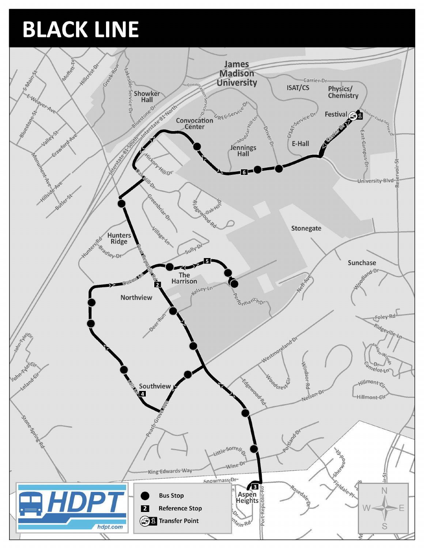## BLACK LINE